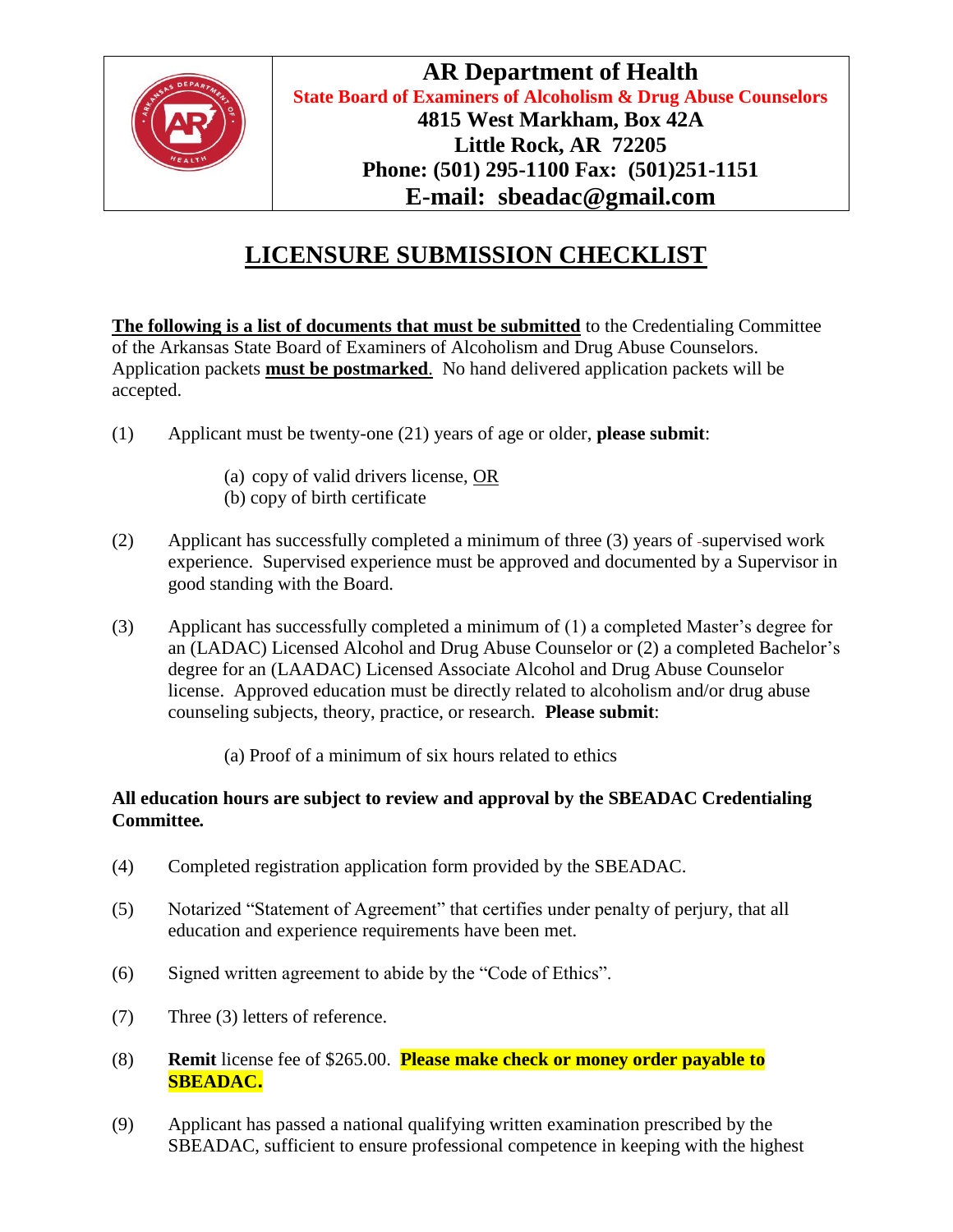

## **LICENSURE SUBMISSION CHECKLIST**

**The following is a list of documents that must be submitted** to the Credentialing Committee of the Arkansas State Board of Examiners of Alcoholism and Drug Abuse Counselors. Application packets **must be postmarked**. No hand delivered application packets will be accepted.

- (1) Applicant must be twenty-one (21) years of age or older, **please submit**:
	- (a) copy of valid drivers license, OR
	- (b) copy of birth certificate
- (2) Applicant has successfully completed a minimum of three (3) years of supervised work experience. Supervised experience must be approved and documented by a Supervisor in good standing with the Board.
- (3) Applicant has successfully completed a minimum of (1) a completed Master's degree for an (LADAC) Licensed Alcohol and Drug Abuse Counselor or (2) a completed Bachelor's degree for an (LAADAC) Licensed Associate Alcohol and Drug Abuse Counselor license. Approved education must be directly related to alcoholism and/or drug abuse counseling subjects, theory, practice, or research. **Please submit**:
	- (a) Proof of a minimum of six hours related to ethics

## **All education hours are subject to review and approval by the SBEADAC Credentialing Committee***.*

- (4) Completed registration application form provided by the SBEADAC.
- (5) Notarized "Statement of Agreement" that certifies under penalty of perjury, that all education and experience requirements have been met.
- (6) Signed written agreement to abide by the "Code of Ethics".
- (7) Three (3) letters of reference.
- (8) **Remit** license fee of \$265.00. **Please make check or money order payable to SBEADAC**.
- (9) Applicant has passed a national qualifying written examination prescribed by the SBEADAC, sufficient to ensure professional competence in keeping with the highest